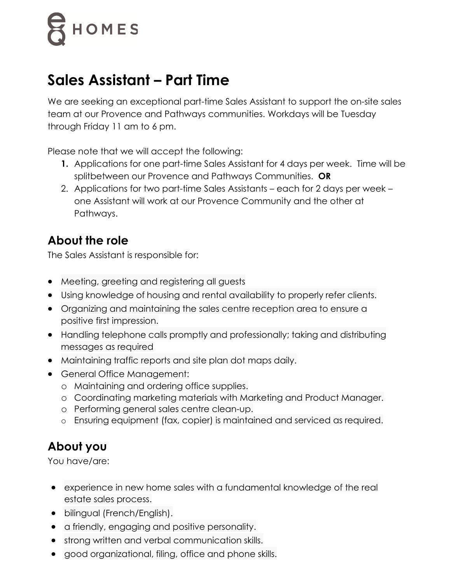# HOMES

## **Sales Assistant – Part Time**

We are seeking an exceptional part-time Sales Assistant to support the on-site sales team at our Provence and Pathways communities. Workdays will be Tuesday through Friday 11 am to 6 pm.

Please note that we will accept the following:

- **1.** Applications for one part-time Sales Assistant for 4 days per week. Time will be splitbetween our Provence and Pathways Communities. **OR**
- 2. Applications for two part-time Sales Assistants each for 2 days per week one Assistant will work at our Provence Community and the other at Pathways.

### **About the role**

The Sales Assistant is responsible for:

- Meeting, greeting and registering all guests
- Using knowledge of housing and rental availability to properly refer clients.
- Organizing and maintaining the sales centre reception area to ensure a positive first impression.
- Handling telephone calls promptly and professionally; taking and distributing messages as required
- Maintaining traffic reports and site plan dot maps daily.
- General Office Management:
	- o Maintaining and ordering office supplies.
	- o Coordinating marketing materials with Marketing and Product Manager.
	- o Performing general sales centre clean-up.
	- o Ensuring equipment (fax, copier) is maintained and serviced as required.

### **About you**

You have/are:

- experience in new home sales with a fundamental knowledge of the real estate sales process.
- bilingual (French/English).
- a friendly, engaging and positive personality.
- strong written and verbal communication skills.
- good organizational, filing, office and phone skills.